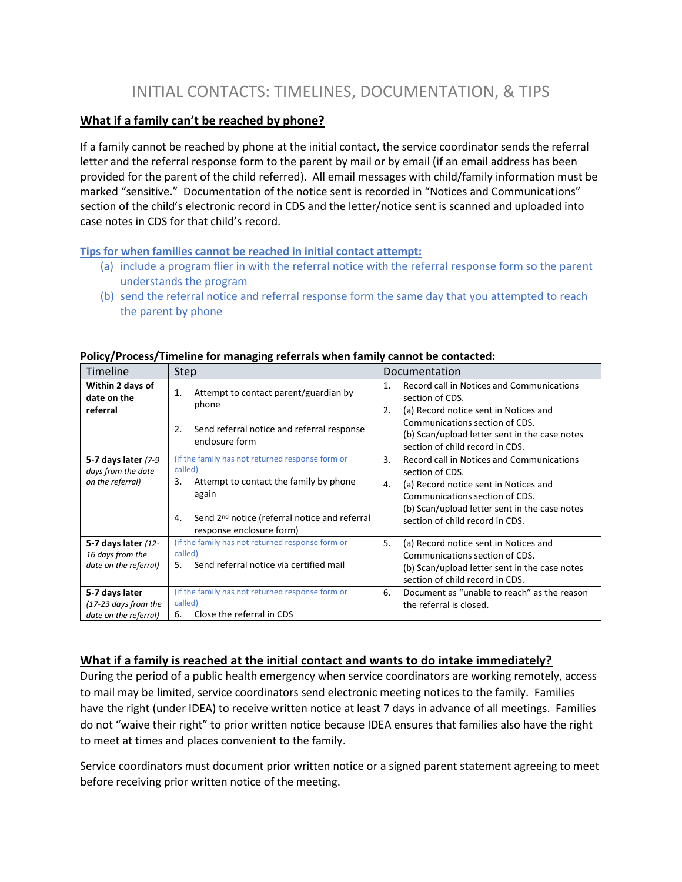# INITIAL CONTACTS: TIMELINES, DOCUMENTATION, & TIPS

## **What if a family can't be reached by phone?**

If a family cannot be reached by phone at the initial contact, the service coordinator sends the referral letter and the referral response form to the parent by mail or by email (if an email address has been provided for the parent of the child referred). All email messages with child/family information must be marked "sensitive." Documentation of the notice sent is recorded in "Notices and Communications" section of the child's electronic record in CDS and the letter/notice sent is scanned and uploaded into case notes in CDS for that child's record.

#### **Tips for when families cannot be reached in initial contact attempt:**

- (a) include a program flier in with the referral notice with the referral response form so the parent understands the program
- (b) send the referral notice and referral response form the same day that you attempted to reach the parent by phone

| Timeline                                                          | Step                                                                                                         | Documentation                                                                                                                                                     |  |
|-------------------------------------------------------------------|--------------------------------------------------------------------------------------------------------------|-------------------------------------------------------------------------------------------------------------------------------------------------------------------|--|
| Within 2 days of<br>date on the<br>referral                       | Attempt to contact parent/guardian by<br>1.<br>phone                                                         | Record call in Notices and Communications<br>1.<br>section of CDS.<br>(a) Record notice sent in Notices and<br>2.                                                 |  |
|                                                                   | Send referral notice and referral response<br>2.<br>enclosure form                                           | Communications section of CDS.<br>(b) Scan/upload letter sent in the case notes<br>section of child record in CDS.                                                |  |
| 5-7 days later $(7-9)$<br>days from the date                      | (if the family has not returned response form or<br>called)                                                  | $\mathbf{3}$ .<br>Record call in Notices and Communications<br>section of CDS.                                                                                    |  |
| on the referral)                                                  | Attempt to contact the family by phone<br>3.<br>again                                                        | (a) Record notice sent in Notices and<br>4.<br>Communications section of CDS.<br>(b) Scan/upload letter sent in the case notes                                    |  |
|                                                                   | Send 2 <sup>nd</sup> notice (referral notice and referral<br>4.<br>response enclosure form)                  | section of child record in CDS.                                                                                                                                   |  |
| 5-7 days later (12-<br>16 days from the<br>date on the referral)  | (if the family has not returned response form or<br>called)<br>Send referral notice via certified mail<br>5. | 5.<br>(a) Record notice sent in Notices and<br>Communications section of CDS.<br>(b) Scan/upload letter sent in the case notes<br>section of child record in CDS. |  |
| 5-7 days later<br>$(17-23$ days from the<br>date on the referral) | (if the family has not returned response form or<br>called)<br>Close the referral in CDS<br>6.               | Document as "unable to reach" as the reason<br>6.<br>the referral is closed.                                                                                      |  |

#### **Policy/Process/Timeline for managing referrals when family cannot be contacted:**

## **What if a family is reached at the initial contact and wants to do intake immediately?**

During the period of a public health emergency when service coordinators are working remotely, access to mail may be limited, service coordinators send electronic meeting notices to the family. Families have the right (under IDEA) to receive written notice at least 7 days in advance of all meetings. Families do not "waive their right" to prior written notice because IDEA ensures that families also have the right to meet at times and places convenient to the family.

Service coordinators must document prior written notice or a signed parent statement agreeing to meet before receiving prior written notice of the meeting.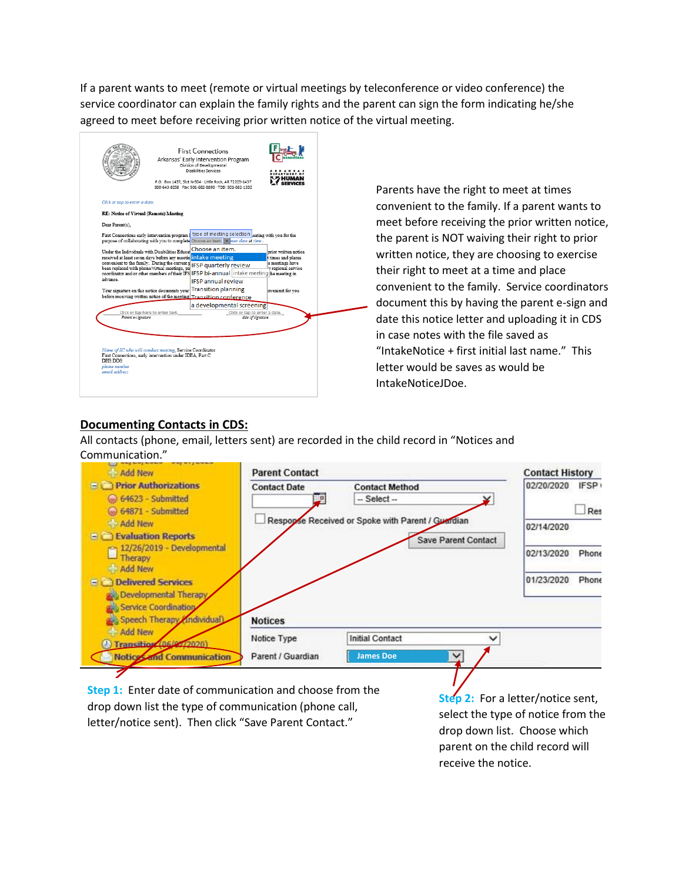If a parent wants to meet (remote or virtual meetings by teleconference or video conference) the service coordinator can explain the family rights and the parent can sign the form indicating he/she agreed to meet before receiving prior written notice of the virtual meeting.

|                                                                                                                                                                                                                                                                                                                                                          | <b>First Connections</b><br>Arkansas' Early Intervention Program<br>Division of Developmental<br>Disabilities Services<br>P.O. Box 1437, Slot N-504 - Little Rock, AR 72203-1437<br>800-643-8258 - Fax: 501-682-8890 - TDD: 501-682-1332 |                                                                                      |
|----------------------------------------------------------------------------------------------------------------------------------------------------------------------------------------------------------------------------------------------------------------------------------------------------------------------------------------------------------|------------------------------------------------------------------------------------------------------------------------------------------------------------------------------------------------------------------------------------------|--------------------------------------------------------------------------------------|
| Click or tap to enter a date.                                                                                                                                                                                                                                                                                                                            |                                                                                                                                                                                                                                          |                                                                                      |
| <b>RE: Notice of Virtual (Remote) Meeting</b>                                                                                                                                                                                                                                                                                                            |                                                                                                                                                                                                                                          |                                                                                      |
| Dear Parent(s).                                                                                                                                                                                                                                                                                                                                          |                                                                                                                                                                                                                                          |                                                                                      |
| First Connections early intervention program   type of meeting selection eeting with you for the<br>purpose of collaborating with you to complete Choose an item. v buter date at time                                                                                                                                                                   |                                                                                                                                                                                                                                          |                                                                                      |
| Under the Individuals with Disabilities Educat<br>received at least seven days before any meetin intake meeting<br>convenient to the family. During the current <b>p</b> IFSP quarterly review<br>been replaced with phone/virtual meetings, pa<br>coordinator and/or other members of their IFS IFSP bi-annual intake meeting the meeting in<br>advance | Choose an item.<br><b>IFSP annual review</b>                                                                                                                                                                                             | prior written notice<br>t times and places<br>e meetings have<br>ir regional service |
| Your signature on this notice documents your Transition planning<br>before receiving written notice of the meeting Transition conference                                                                                                                                                                                                                 |                                                                                                                                                                                                                                          | nvenient for vou                                                                     |
|                                                                                                                                                                                                                                                                                                                                                          | a developmental screening                                                                                                                                                                                                                |                                                                                      |
| Click or tap here to enter text.<br>Parent e-signature                                                                                                                                                                                                                                                                                                   | Click or tap to enter a date.<br>date of signature                                                                                                                                                                                       |                                                                                      |
| Name of SC who will conduct meeting, Service Coordinator<br>First Connections, early intervention under IDEA, Part C<br>DHS-DDS<br>phone number<br>email address                                                                                                                                                                                         |                                                                                                                                                                                                                                          |                                                                                      |

Parents have the right to meet at times convenient to the family. If a parent wants to meet before receiving the prior written notice, the parent is NOT waiving their right to prior written notice, they are choosing to exercise their right to meet at a time and place convenient to the family. Service coordinators document this by having the parent e-sign and date this notice letter and uploading it in CDS in case notes with the file saved as "IntakeNotice + first initial last name." This letter would be saves as would be IntakeNoticeJDoe.

## **Documenting Contacts in CDS:**

All contacts (phone, email, letters sent) are recorded in the child record in "Notices and Communication."



**Step 1:** Enter date of communication and choose from the drop down list the type of communication (phone call, letter/notice sent). Then click "Save Parent Contact."

**Step 2:** For a letter/notice sent, select the type of notice from the drop down list. Choose which parent on the child record will receive the notice.